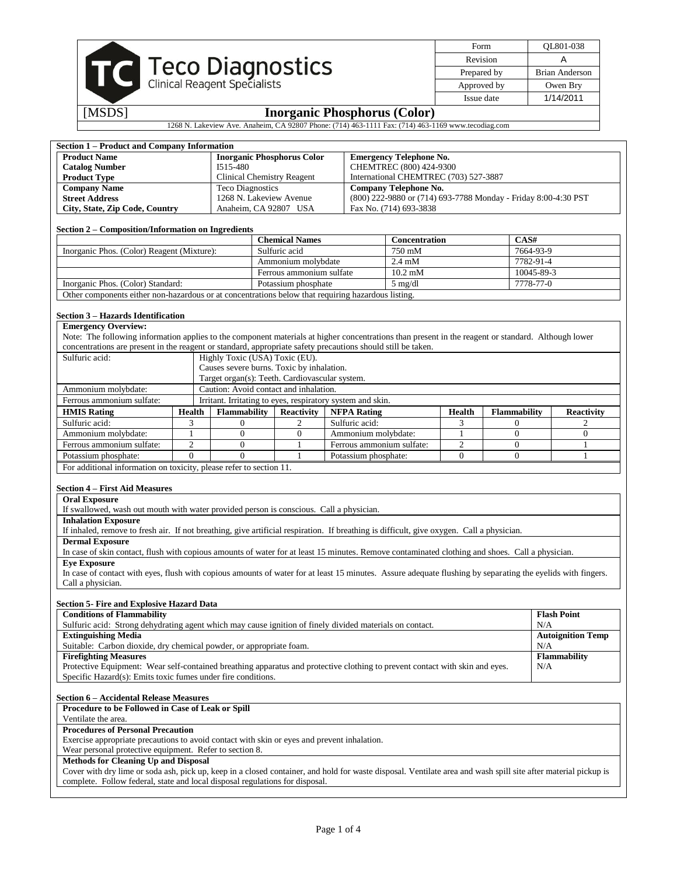|                                                                                                    |                                   |                                     | Form        | OL801-038 |  |  |
|----------------------------------------------------------------------------------------------------|-----------------------------------|-------------------------------------|-------------|-----------|--|--|
|                                                                                                    | Revision                          |                                     |             |           |  |  |
|                                                                                                    | Prepared by                       | Brian Anderson                      |             |           |  |  |
|                                                                                                    | TC Teco Diagnostics               |                                     | Approved by | Owen Bry  |  |  |
|                                                                                                    |                                   | Issue date                          | 1/14/2011   |           |  |  |
| [MSDS]                                                                                             |                                   | <b>Inorganic Phosphorus (Color)</b> |             |           |  |  |
| 1268 N. Lakeview Ave. Anaheim, CA 92807 Phone: (714) 463-1111 Fax: (714) 463-1169 www.tecodiag.com |                                   |                                     |             |           |  |  |
|                                                                                                    |                                   |                                     |             |           |  |  |
| <b>Section 1 – Product and Company Information</b>                                                 |                                   |                                     |             |           |  |  |
| <b>Product Name</b>                                                                                | <b>Inorganic Phosphorus Color</b> | <b>Emergency Telephone No.</b>      |             |           |  |  |

| <b>Product Name</b>            | Inorganic Phosphorus Color        | Emergency Telephone No.                                        |
|--------------------------------|-----------------------------------|----------------------------------------------------------------|
| <b>Catalog Number</b>          | I515-480                          | CHEMTREC (800) 424-9300                                        |
| <b>Product Type</b>            | <b>Clinical Chemistry Reagent</b> | International CHEMTREC (703) 527-3887                          |
| <b>Company Name</b>            | Teco Diagnostics                  | Company Telephone No.                                          |
| <b>Street Address</b>          | 1268 N. Lakeview Avenue           | (800) 222-9880 or (714) 693-7788 Monday - Friday 8:00-4:30 PST |
| City, State, Zip Code, Country | Anaheim, CA 92807 USA             | Fax No. (714) 693-3838                                         |

#### **Section 2 – Composition/Information on Ingredients**

|                                            |                                                                                                    | <b>Chemical Names</b>    | <b>Concentration</b>       | CAS#       |  |  |
|--------------------------------------------|----------------------------------------------------------------------------------------------------|--------------------------|----------------------------|------------|--|--|
| Inorganic Phos. (Color) Reagent (Mixture): |                                                                                                    | Sulfuric acid            | 750 mM                     | 7664-93-9  |  |  |
|                                            |                                                                                                    | Ammonium molybdate       | $2.4 \text{ mM}$           | 7782-91-4  |  |  |
|                                            |                                                                                                    | Ferrous ammonium sulfate | $10.2 \text{ }\mathrm{mM}$ | 10045-89-3 |  |  |
|                                            | Inorganic Phos. (Color) Standard:                                                                  | Potassium phosphate      | $5 \text{ mg/dl}$          | 7778-77-0  |  |  |
|                                            | Other components either non-hazardous or at concentrations below that requiring hazardous listing. |                          |                            |            |  |  |

## **Section 3 – Hazards Identification**

| <b>Emergency Overview:</b>                                                                                                                          |                                                                                                              |                                                |                   |                                                            |        |                     |                   |
|-----------------------------------------------------------------------------------------------------------------------------------------------------|--------------------------------------------------------------------------------------------------------------|------------------------------------------------|-------------------|------------------------------------------------------------|--------|---------------------|-------------------|
| Note: The following information applies to the component materials at higher concentrations than present in the reagent or standard. Although lower |                                                                                                              |                                                |                   |                                                            |        |                     |                   |
|                                                                                                                                                     | concentrations are present in the reagent or standard, appropriate safety precautions should still be taken. |                                                |                   |                                                            |        |                     |                   |
| Sulfuric acid:<br>Highly Toxic (USA) Toxic (EU).                                                                                                    |                                                                                                              |                                                |                   |                                                            |        |                     |                   |
|                                                                                                                                                     |                                                                                                              | Causes severe burns. Toxic by inhalation.      |                   |                                                            |        |                     |                   |
|                                                                                                                                                     |                                                                                                              | Target organ(s): Teeth. Cardiovascular system. |                   |                                                            |        |                     |                   |
| Ammonium molybdate:                                                                                                                                 |                                                                                                              | Caution: Avoid contact and inhalation.         |                   |                                                            |        |                     |                   |
| Ferrous ammonium sulfate:                                                                                                                           |                                                                                                              |                                                |                   | Irritant. Irritating to eyes, respiratory system and skin. |        |                     |                   |
| <b>HMIS Rating</b>                                                                                                                                  | Health                                                                                                       | <b>Flammability</b>                            | <b>Reactivity</b> | <b>NFPA Rating</b>                                         | Health | <b>Flammability</b> | <b>Reactivity</b> |
| Sulfuric acid:                                                                                                                                      |                                                                                                              |                                                |                   | Sulfuric acid:                                             |        |                     |                   |
| Ammonium molybdate:                                                                                                                                 |                                                                                                              |                                                |                   | Ammonium molybdate:                                        |        |                     |                   |
| Ferrous ammonium sulfate:<br>Ferrous ammonium sulfate:<br>2<br>C                                                                                    |                                                                                                              |                                                |                   |                                                            |        |                     |                   |
| Potassium phosphate:<br>Potassium phosphate:                                                                                                        |                                                                                                              |                                                |                   |                                                            |        |                     |                   |
| For additional information on toxicity, please refer to section 11.                                                                                 |                                                                                                              |                                                |                   |                                                            |        |                     |                   |

# **Section 4 – First Aid Measures**

### **Oral Exposure**

If swallowed, wash out mouth with water provided person is conscious. Call a physician.

**Inhalation Exposure**

If inhaled, remove to fresh air. If not breathing, give artificial respiration. If breathing is difficult, give oxygen. Call a physician.

**Dermal Exposure**

In case of skin contact, flush with copious amounts of water for at least 15 minutes. Remove contaminated clothing and shoes. Call a physician. **Eye Exposure**

In case of contact with eyes, flush with copious amounts of water for at least 15 minutes. Assure adequate flushing by separating the eyelids with fingers. Call a physician.

#### **Section 5- Fire and Explosive Hazard Data**

| <b>Conditions of Flammability</b>                                                                                                                              | <b>Flash Point</b>       |  |  |  |
|----------------------------------------------------------------------------------------------------------------------------------------------------------------|--------------------------|--|--|--|
| Sulfuric acid: Strong dehydrating agent which may cause ignition of finely divided materials on contact.                                                       | N/A                      |  |  |  |
| <b>Extinguishing Media</b>                                                                                                                                     | <b>Autoignition Temp</b> |  |  |  |
| Suitable: Carbon dioxide, dry chemical powder, or appropriate foam.                                                                                            | N/A                      |  |  |  |
| <b>Firefighting Measures</b>                                                                                                                                   | <b>Flammability</b>      |  |  |  |
| Protective Equipment: Wear self-contained breathing apparatus and protective clothing to prevent contact with skin and eyes.                                   | N/A                      |  |  |  |
| Specific Hazard(s): Emits toxic fumes under fire conditions.                                                                                                   |                          |  |  |  |
| <b>Section 6 – Accidental Release Measures</b><br>Procedure to be Followed in Case of Leak or Spill                                                            |                          |  |  |  |
| Ventilate the area.                                                                                                                                            |                          |  |  |  |
| <b>Procedures of Personal Precaution</b>                                                                                                                       |                          |  |  |  |
| Exercise appropriate precautions to avoid contact with skin or eyes and prevent inhalation.                                                                    |                          |  |  |  |
| Wear personal protective equipment. Refer to section 8.                                                                                                        |                          |  |  |  |
| <b>Methods for Cleaning Up and Disposal</b>                                                                                                                    |                          |  |  |  |
| Cover with dry lime or soda ash, pick up, keep in a closed container, and hold for waste disposal. Ventilate area and wash spill site after material pickup is |                          |  |  |  |
| complete. Follow federal, state and local disposal regulations for disposal.                                                                                   |                          |  |  |  |
|                                                                                                                                                                |                          |  |  |  |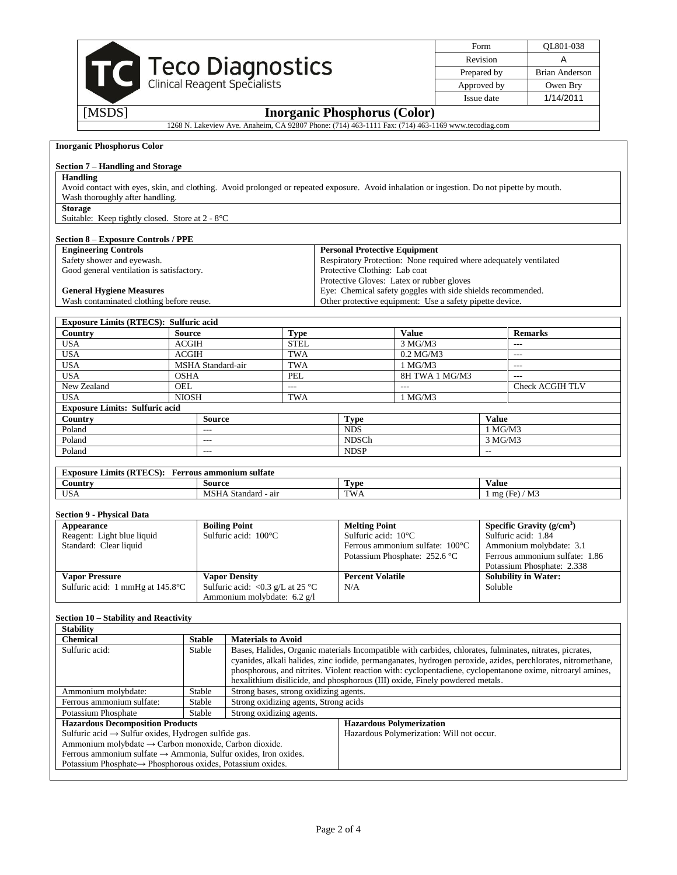|                                                                                                                                                               |                                                            |                                                                                                    |                          |             |                                                                                                    |                             |                          | Form                                                      | QL801-038                                                                                                                                                                                                                  |
|---------------------------------------------------------------------------------------------------------------------------------------------------------------|------------------------------------------------------------|----------------------------------------------------------------------------------------------------|--------------------------|-------------|----------------------------------------------------------------------------------------------------|-----------------------------|--------------------------|-----------------------------------------------------------|----------------------------------------------------------------------------------------------------------------------------------------------------------------------------------------------------------------------------|
|                                                                                                                                                               |                                                            |                                                                                                    |                          |             |                                                                                                    |                             |                          | Revision                                                  | A                                                                                                                                                                                                                          |
| TC Teco Diagnostics                                                                                                                                           |                                                            |                                                                                                    |                          |             |                                                                                                    |                             |                          | Prepared by                                               | <b>Brian Anderson</b>                                                                                                                                                                                                      |
|                                                                                                                                                               |                                                            |                                                                                                    |                          |             |                                                                                                    |                             |                          | Approved by                                               | Owen Bry                                                                                                                                                                                                                   |
|                                                                                                                                                               |                                                            |                                                                                                    |                          |             |                                                                                                    |                             |                          | Issue date                                                | 1/14/2011                                                                                                                                                                                                                  |
| [MSDS]                                                                                                                                                        |                                                            |                                                                                                    |                          |             | <b>Inorganic Phosphorus (Color)</b>                                                                |                             |                          |                                                           |                                                                                                                                                                                                                            |
|                                                                                                                                                               |                                                            | 1268 N. Lakeview Ave. Anaheim, CA 92807 Phone: (714) 463-1111 Fax: (714) 463-1169 www.tecodiag.com |                          |             |                                                                                                    |                             |                          |                                                           |                                                                                                                                                                                                                            |
| <b>Inorganic Phosphorus Color</b>                                                                                                                             |                                                            |                                                                                                    |                          |             |                                                                                                    |                             |                          |                                                           |                                                                                                                                                                                                                            |
|                                                                                                                                                               |                                                            |                                                                                                    |                          |             |                                                                                                    |                             |                          |                                                           |                                                                                                                                                                                                                            |
| Section 7 – Handling and Storage                                                                                                                              |                                                            |                                                                                                    |                          |             |                                                                                                    |                             |                          |                                                           |                                                                                                                                                                                                                            |
| <b>Handling</b><br>Avoid contact with eyes, skin, and clothing. Avoid prolonged or repeated exposure. Avoid inhalation or ingestion. Do not pipette by mouth. |                                                            |                                                                                                    |                          |             |                                                                                                    |                             |                          |                                                           |                                                                                                                                                                                                                            |
| Wash thoroughly after handling.                                                                                                                               |                                                            |                                                                                                    |                          |             |                                                                                                    |                             |                          |                                                           |                                                                                                                                                                                                                            |
| <b>Storage</b>                                                                                                                                                |                                                            |                                                                                                    |                          |             |                                                                                                    |                             |                          |                                                           |                                                                                                                                                                                                                            |
| Suitable: Keep tightly closed. Store at 2 - 8°C                                                                                                               |                                                            |                                                                                                    |                          |             |                                                                                                    |                             |                          |                                                           |                                                                                                                                                                                                                            |
| <b>Section 8 - Exposure Controls / PPE</b>                                                                                                                    |                                                            |                                                                                                    |                          |             |                                                                                                    |                             |                          |                                                           |                                                                                                                                                                                                                            |
| <b>Engineering Controls</b>                                                                                                                                   |                                                            |                                                                                                    |                          |             | <b>Personal Protective Equipment</b>                                                               |                             |                          |                                                           |                                                                                                                                                                                                                            |
| Safety shower and eyewash.<br>Good general ventilation is satisfactory.                                                                                       |                                                            |                                                                                                    |                          |             | Respiratory Protection: None required where adequately ventilated<br>Protective Clothing: Lab coat |                             |                          |                                                           |                                                                                                                                                                                                                            |
|                                                                                                                                                               |                                                            |                                                                                                    |                          |             | Protective Gloves: Latex or rubber gloves                                                          |                             |                          |                                                           |                                                                                                                                                                                                                            |
| <b>General Hygiene Measures</b>                                                                                                                               |                                                            |                                                                                                    |                          |             | Eye: Chemical safety goggles with side shields recommended.                                        |                             |                          |                                                           |                                                                                                                                                                                                                            |
| Wash contaminated clothing before reuse.                                                                                                                      |                                                            |                                                                                                    |                          |             | Other protective equipment: Use a safety pipette device.                                           |                             |                          |                                                           |                                                                                                                                                                                                                            |
| <b>Exposure Limits (RTECS): Sulfuric acid</b>                                                                                                                 |                                                            |                                                                                                    |                          |             |                                                                                                    |                             |                          |                                                           |                                                                                                                                                                                                                            |
| Country                                                                                                                                                       | <b>Source</b>                                              |                                                                                                    | <b>Type</b>              |             |                                                                                                    | <b>Value</b>                |                          |                                                           | <b>Remarks</b>                                                                                                                                                                                                             |
| <b>USA</b>                                                                                                                                                    | <b>ACGIH</b>                                               |                                                                                                    | <b>STEL</b>              |             |                                                                                                    | 3 MG/M3                     |                          | $\overline{a}$                                            |                                                                                                                                                                                                                            |
| <b>USA</b>                                                                                                                                                    | <b>ACGIH</b>                                               |                                                                                                    | <b>TWA</b>               |             |                                                                                                    | $0.2$ MG/M3                 |                          | $---$                                                     |                                                                                                                                                                                                                            |
| <b>USA</b><br><b>USA</b>                                                                                                                                      | MSHA Standard-air<br><b>OSHA</b>                           |                                                                                                    | <b>TWA</b><br><b>PEL</b> |             |                                                                                                    | $1$ MG/M3<br>8H TWA 1 MG/M3 |                          | $\overline{a}$<br>$\overline{a}$                          |                                                                                                                                                                                                                            |
| New Zealand                                                                                                                                                   | <b>OEL</b>                                                 |                                                                                                    | $\scriptstyle\cdots$     |             |                                                                                                    | $\overline{a}$              |                          |                                                           | Check ACGIH TLV                                                                                                                                                                                                            |
| <b>USA</b>                                                                                                                                                    | <b>NIOSH</b>                                               |                                                                                                    | TWA                      |             | $1$ MG/M3                                                                                          |                             |                          |                                                           |                                                                                                                                                                                                                            |
| <b>Exposure Limits: Sulfuric acid</b>                                                                                                                         |                                                            |                                                                                                    |                          |             |                                                                                                    |                             |                          |                                                           |                                                                                                                                                                                                                            |
| Country<br>Poland                                                                                                                                             | Source<br>---                                              |                                                                                                    |                          |             | <b>Type</b><br><b>NDS</b>                                                                          |                             |                          | Value<br>$1$ MG/M3                                        |                                                                                                                                                                                                                            |
| Poland                                                                                                                                                        | $---$                                                      |                                                                                                    |                          |             | NDSCh                                                                                              |                             | 3 MG/M3                  |                                                           |                                                                                                                                                                                                                            |
| Poland                                                                                                                                                        | $---$                                                      |                                                                                                    |                          | <b>NDSP</b> |                                                                                                    |                             | $\overline{a}$           |                                                           |                                                                                                                                                                                                                            |
|                                                                                                                                                               |                                                            |                                                                                                    |                          |             |                                                                                                    |                             |                          |                                                           |                                                                                                                                                                                                                            |
| Exposure Limits (RTECS): Ferrous ammonium sulfate<br>Country                                                                                                  | Source                                                     |                                                                                                    |                          |             |                                                                                                    |                             |                          | <b>Value</b>                                              |                                                                                                                                                                                                                            |
| <b>USA</b>                                                                                                                                                    |                                                            | MSHA Standard - air                                                                                |                          |             | <b>Type</b><br><b>TWA</b>                                                                          |                             | $1 \text{ mg}$ (Fe) / M3 |                                                           |                                                                                                                                                                                                                            |
|                                                                                                                                                               |                                                            |                                                                                                    |                          |             |                                                                                                    |                             |                          |                                                           |                                                                                                                                                                                                                            |
| Section 9 - Physical Data                                                                                                                                     |                                                            |                                                                                                    |                          |             |                                                                                                    |                             |                          |                                                           |                                                                                                                                                                                                                            |
| Appearance<br>Reagent: Light blue liquid                                                                                                                      |                                                            | <b>Boiling Point</b><br>Sulfuric acid: 100°C                                                       |                          |             | <b>Melting Point</b><br>Sulfuric acid: 10°C                                                        |                             |                          |                                                           | Specific Gravity $(g/cm3)$<br>Sulfuric acid: 1.84                                                                                                                                                                          |
| Standard: Clear liquid                                                                                                                                        |                                                            |                                                                                                    |                          |             | Ferrous ammonium sulfate: 100°C                                                                    |                             | Ammonium molybdate: 3.1  |                                                           |                                                                                                                                                                                                                            |
|                                                                                                                                                               |                                                            |                                                                                                    |                          |             | Potassium Phosphate: 252.6 °C                                                                      |                             |                          | Ferrous ammonium sulfate: 1.86                            |                                                                                                                                                                                                                            |
| <b>Vapor Pressure</b>                                                                                                                                         |                                                            | <b>Vapor Density</b>                                                                               |                          |             | <b>Percent Volatile</b>                                                                            |                             |                          | Potassium Phosphate: 2.338<br><b>Solubility in Water:</b> |                                                                                                                                                                                                                            |
| Sulfuric acid: 1 mmHg at 145.8°C                                                                                                                              |                                                            | Sulfuric acid: <0.3 g/L at 25 °C                                                                   |                          |             | N/A                                                                                                |                             |                          | Soluble                                                   |                                                                                                                                                                                                                            |
|                                                                                                                                                               |                                                            | Ammonium molybdate: 6.2 g/l                                                                        |                          |             |                                                                                                    |                             |                          |                                                           |                                                                                                                                                                                                                            |
| Section 10 - Stability and Reactivity                                                                                                                         |                                                            |                                                                                                    |                          |             |                                                                                                    |                             |                          |                                                           |                                                                                                                                                                                                                            |
| <b>Stability</b>                                                                                                                                              |                                                            |                                                                                                    |                          |             |                                                                                                    |                             |                          |                                                           |                                                                                                                                                                                                                            |
| <b>Chemical</b>                                                                                                                                               | <b>Stable</b>                                              | <b>Materials to Avoid</b>                                                                          |                          |             |                                                                                                    |                             |                          |                                                           |                                                                                                                                                                                                                            |
| Sulfuric acid:                                                                                                                                                | Stable                                                     |                                                                                                    |                          |             |                                                                                                    |                             |                          |                                                           | Bases, Halides, Organic materials Incompatible with carbides, chlorates, fulminates, nitrates, picrates,                                                                                                                   |
|                                                                                                                                                               |                                                            |                                                                                                    |                          |             |                                                                                                    |                             |                          |                                                           | cyanides, alkali halides, zinc iodide, permanganates, hydrogen peroxide, azides, perchlorates, nitromethane,<br>phosphorous, and nitrites. Violent reaction with: cyclopentaliene, cyclopentanone oxime, nitroaryl amines, |
|                                                                                                                                                               |                                                            |                                                                                                    |                          |             | hexalithium disilicide, and phosphorous (III) oxide, Finely powdered metals.                       |                             |                          |                                                           |                                                                                                                                                                                                                            |
| Ammonium molybdate:                                                                                                                                           | Stable                                                     | Strong bases, strong oxidizing agents.                                                             |                          |             |                                                                                                    |                             |                          |                                                           |                                                                                                                                                                                                                            |
| Ferrous ammonium sulfate:                                                                                                                                     | Stable                                                     | Strong oxidizing agents, Strong acids                                                              |                          |             |                                                                                                    |                             |                          |                                                           |                                                                                                                                                                                                                            |
| Potassium Phosphate<br><b>Hazardous Decomposition Products</b>                                                                                                | Stable                                                     | Strong oxidizing agents.                                                                           |                          |             | <b>Hazardous Polymerization</b>                                                                    |                             |                          |                                                           |                                                                                                                                                                                                                            |
| Sulfuric acid $\rightarrow$ Sulfur oxides, Hydrogen sulfide gas.                                                                                              |                                                            |                                                                                                    |                          |             | Hazardous Polymerization: Will not occur.                                                          |                             |                          |                                                           |                                                                                                                                                                                                                            |
| Ammonium molybdate $\rightarrow$ Carbon monoxide, Carbon dioxide.                                                                                             |                                                            |                                                                                                    |                          |             |                                                                                                    |                             |                          |                                                           |                                                                                                                                                                                                                            |
| Ferrous ammonium sulfate $\rightarrow$ Ammonia, Sulfur oxides, Iron oxides.                                                                                   |                                                            |                                                                                                    |                          |             |                                                                                                    |                             |                          |                                                           |                                                                                                                                                                                                                            |
|                                                                                                                                                               | Potassium Phosphate→ Phosphorous oxides, Potassium oxides. |                                                                                                    |                          |             |                                                                                                    |                             |                          |                                                           |                                                                                                                                                                                                                            |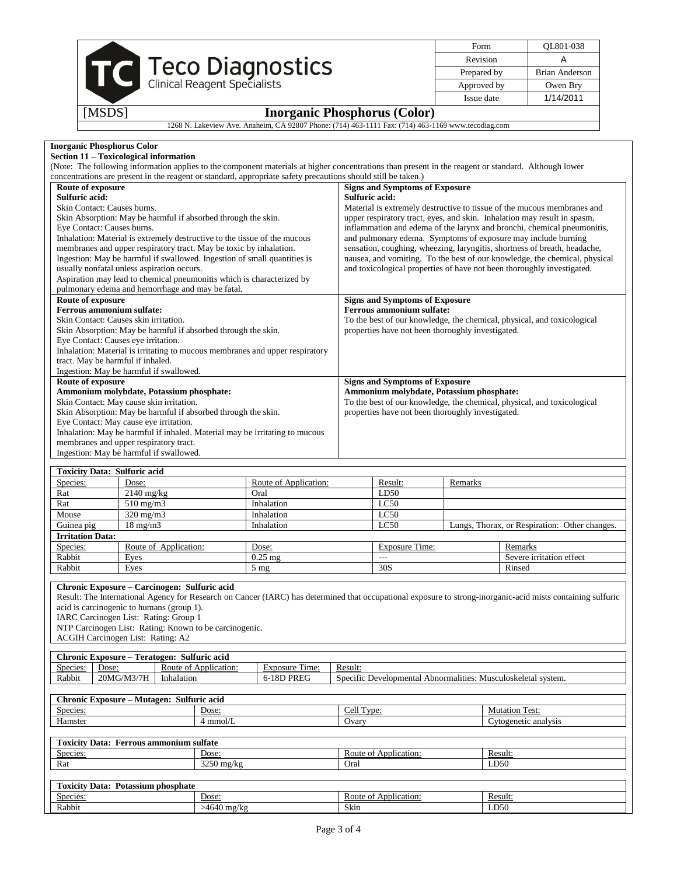|        |                                                                                                    | Form        | OL801-038      |
|--------|----------------------------------------------------------------------------------------------------|-------------|----------------|
|        |                                                                                                    | Revision    |                |
|        | TC Teco Diagnostics                                                                                | Prepared by | Brian Anderson |
|        |                                                                                                    | Approved by | Owen Brv       |
|        |                                                                                                    | Issue date  | 1/14/2011      |
| [MSDS] | <b>Inorganic Phosphorus (Color)</b>                                                                |             |                |
|        | 1268 N. Lakeview Ave. Anaheim, CA 92807 Phone: (714) 463-1111 Fax: (714) 463-1169 www.tecodiag.com |             |                |

| <b>Inorganic Phosphorus Color</b>                                            |                                                                                                                                                      |  |  |  |  |  |  |
|------------------------------------------------------------------------------|------------------------------------------------------------------------------------------------------------------------------------------------------|--|--|--|--|--|--|
| Section 11 – Toxicological information                                       |                                                                                                                                                      |  |  |  |  |  |  |
|                                                                              | (Note: The following information applies to the component materials at higher concentrations than present in the reagent or standard. Although lower |  |  |  |  |  |  |
|                                                                              | concentrations are present in the reagent or standard, appropriate safety precautions should still be taken.)                                        |  |  |  |  |  |  |
| Route of exposure                                                            | <b>Signs and Symptoms of Exposure</b>                                                                                                                |  |  |  |  |  |  |
| Sulfuric acid:                                                               | Sulfuric acid:                                                                                                                                       |  |  |  |  |  |  |
| Skin Contact: Causes burns.                                                  | Material is extremely destructive to tissue of the mucous membranes and                                                                              |  |  |  |  |  |  |
| Skin Absorption: May be harmful if absorbed through the skin.                | upper respiratory tract, eyes, and skin. Inhalation may result in spasm,                                                                             |  |  |  |  |  |  |
| Eye Contact: Causes burns.                                                   | inflammation and edema of the larynx and bronchi, chemical pneumonitis,                                                                              |  |  |  |  |  |  |
| Inhalation: Material is extremely destructive to the tissue of the mucous    | and pulmonary edema. Symptoms of exposure may include burning                                                                                        |  |  |  |  |  |  |
| membranes and upper respiratory tract. May be toxic by inhalation.           | sensation, coughing, wheezing, laryngitis, shortness of breath, headache,                                                                            |  |  |  |  |  |  |
| Ingestion: May be harmful if swallowed. Ingestion of small quantities is     | nausea, and vomiting. To the best of our knowledge, the chemical, physical                                                                           |  |  |  |  |  |  |
| usually nonfatal unless aspiration occurs.                                   | and toxicological properties of have not been thoroughly investigated.                                                                               |  |  |  |  |  |  |
| Aspiration may lead to chemical pneumonitis which is characterized by        |                                                                                                                                                      |  |  |  |  |  |  |
| pulmonary edema and hemorrhage and may be fatal.                             |                                                                                                                                                      |  |  |  |  |  |  |
| Route of exposure                                                            | <b>Signs and Symptoms of Exposure</b>                                                                                                                |  |  |  |  |  |  |
| <b>Ferrous ammonium sulfate:</b>                                             | Ferrous ammonium sulfate:                                                                                                                            |  |  |  |  |  |  |
| Skin Contact: Causes skin irritation.                                        | To the best of our knowledge, the chemical, physical, and toxicological                                                                              |  |  |  |  |  |  |
| Skin Absorption: May be harmful if absorbed through the skin.                | properties have not been thoroughly investigated.                                                                                                    |  |  |  |  |  |  |
| Eye Contact: Causes eye irritation.                                          |                                                                                                                                                      |  |  |  |  |  |  |
| Inhalation: Material is irritating to mucous membranes and upper respiratory |                                                                                                                                                      |  |  |  |  |  |  |
| tract. May be harmful if inhaled.                                            |                                                                                                                                                      |  |  |  |  |  |  |
| Ingestion: May be harmful if swallowed.                                      |                                                                                                                                                      |  |  |  |  |  |  |
| Route of exposure                                                            | <b>Signs and Symptoms of Exposure</b>                                                                                                                |  |  |  |  |  |  |
| Ammonium molybdate, Potassium phosphate:                                     | Ammonium molybdate, Potassium phosphate:                                                                                                             |  |  |  |  |  |  |
| Skin Contact: May cause skin irritation.                                     | To the best of our knowledge, the chemical, physical, and toxicological                                                                              |  |  |  |  |  |  |
| Skin Absorption: May be harmful if absorbed through the skin.                | properties have not been thoroughly investigated.                                                                                                    |  |  |  |  |  |  |
| Eye Contact: May cause eye irritation.                                       |                                                                                                                                                      |  |  |  |  |  |  |
| Inhalation: May be harmful if inhaled. Material may be irritating to mucous  |                                                                                                                                                      |  |  |  |  |  |  |
|                                                                              |                                                                                                                                                      |  |  |  |  |  |  |
| membranes and upper respiratory tract.                                       |                                                                                                                                                      |  |  |  |  |  |  |

| <b>Toxicity Data: Sulfuric acid</b> |                       |                       |                       |         |                                               |  |
|-------------------------------------|-----------------------|-----------------------|-----------------------|---------|-----------------------------------------------|--|
| Species:                            | Dose:                 | Route of Application: | Result:               | Remarks |                                               |  |
| Rat                                 | $2140 \text{ mg/kg}$  | Oral                  | LD50                  |         |                                               |  |
| Rat                                 | $510 \text{ mg/m}$    | Inhalation            | LC50                  |         |                                               |  |
| Mouse                               | $320 \text{ mg/m}$    | Inhalation            | LC50                  |         |                                               |  |
| Guinea pig                          | $18 \text{ mg/m}$     | Inhalation            | LC50                  |         | Lungs, Thorax, or Respiration: Other changes. |  |
| <b>Irritation Data:</b>             |                       |                       |                       |         |                                               |  |
| Species:                            | Route of Application: | Dose:                 | <b>Exposure Time:</b> |         | Remarks                                       |  |
| Rabbit                              | Eyes                  | $0.25$ mg             | ---                   |         | Severe irritation effect                      |  |
| Rabbit                              | Eyes                  | $5 \text{ mg}$        | 30S                   |         | Rinsed                                        |  |

### **Chronic Exposure – Carcinogen: Sulfuric acid**

Result: The International Agency for Research on Cancer (IARC) has determined that occupational exposure to strong-inorganic-acid mists containing sulfuric acid is carcinogenic to humans (group 1).

IARC Carcinogen List: Rating: Group 1

NTP Carcinogen List: Rating: Known to be carcinogenic.

ACGIH Carcinogen List: Rating: A2

|                    | $\mathbf{r}$<br>Chronic Exposure – °<br>Sulfuric acid<br>Teratogen. |                          |                          |                                                                            |  |
|--------------------|---------------------------------------------------------------------|--------------------------|--------------------------|----------------------------------------------------------------------------|--|
| $\sim$<br>Species: | Dose:                                                               | Route of<br>Application: | m.<br>l'ime:<br>Exposure | Result.                                                                    |  |
| Rabbit             | 20MG/M3/7H                                                          | Inhalation               | -18D PREG                | Specific<br>. Musculoskeletal svstem.<br>: Developmental<br>Abnormalities: |  |
|                    |                                                                     |                          |                          |                                                                            |  |

| $\sim$<br><b>Sulfuric acid</b><br>. Exposure – °<br><b>Mutagen:</b><br>Chronic |        |                       |                                        |  |
|--------------------------------------------------------------------------------|--------|-----------------------|----------------------------------------|--|
| Species:                                                                       | Dose:  | $\text{cell}$<br>vne: | $\sim$<br>Mutation<br>l`ect∙<br>1 U.St |  |
| Hamster                                                                        | mmol/L | Ovary                 | vtogenetic analysis                    |  |
|                                                                                |        |                       |                                        |  |

### **Toxicity Data: Ferrous ammonium sulfate** Species: Dose: Dose: Dose: Route of Application: Result: Rat Constanting Result: Rat Constanting Result: Rat Constanting Result: Rat Constanting Result: Rat Constanting Result: Rat Constanting Result: Rat Constanting Resul Rat 3250 mg/kg Oral **Toxicity Data: Potassium phosphate** Species: Dose: Dose: Route of Application: Result: Rabbit >4640 mg/kg Skin LD50